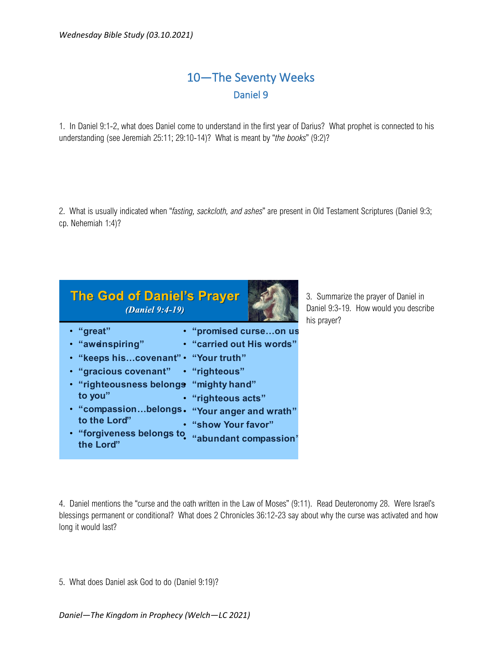## 10—The Seventy Weeks Daniel 9

1. In Daniel 9:1-2, what does Daniel come to understand in the first year of Darius? What prophet is connected to his understanding (see Jeremiah 25:11; 29:10-14)? What is meant by "*the books*" (9:2)?

2. What is usually indicated when "*fasting, sackcloth, and ashes*" are present in Old Testament Scriptures (Daniel 9:3; cp. Nehemiah 1:4)?

| <b>The God of Daniel's Prayer</b><br><i>(Daniel 9:4-19)</i>  |                                  | 3.<br>D<br>hi |
|--------------------------------------------------------------|----------------------------------|---------------|
| • "great"                                                    | • "promised curseon us           |               |
| · "aweinspiring"                                             | <b>.</b> "carried out His words" |               |
| • "keeps hiscovenant" • "Your truth"                         |                                  |               |
| • "gracious covenant" • "righteous"                          |                                  |               |
| · "righteousness belongs "mighty hand"                       |                                  |               |
| to you"                                                      | · "righteous acts"               |               |
| • "compassionbelongs • "Your anger and wrath"                |                                  |               |
| to the Lord"                                                 | • "show Your favor"              |               |
| · "forgiveness belongs to "abundant compassion"<br>the Lord" |                                  |               |

Summarize the prayer of Daniel in aniel 9:3-19. How would you describe is prayer?

4. Daniel mentions the "curse and the oath written in the Law of Moses" (9:11). Read Deuteronomy 28. Were Israel's blessings permanent or conditional? What does 2 Chronicles 36:12-23 say about why the curse was activated and how long it would last?

5. What does Daniel ask God to do (Daniel 9:19)?